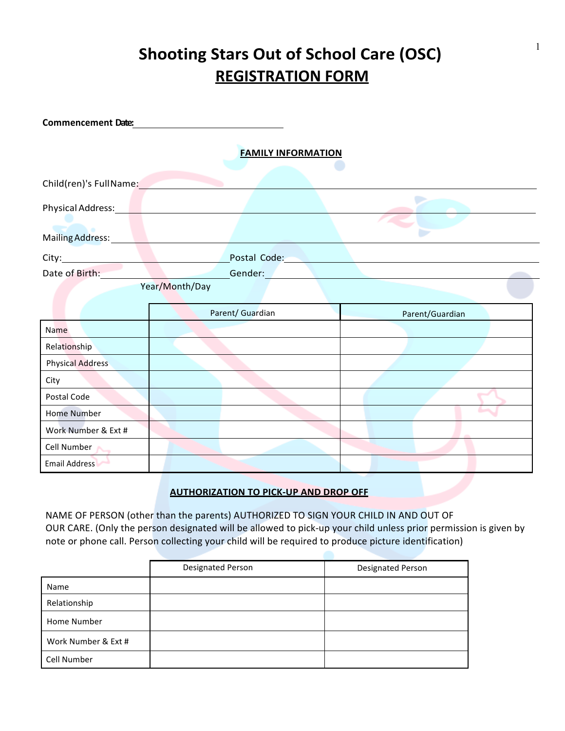## **Shooting Stars Out of School Care (OSC) REGISTRATION FORM**

| <b>FAMILY INFORMATION</b><br>Child(ren)'s FullName:<br>Physical Address:<br>Mailing Address:<br>Postal Code: New York Postal Code:<br>Date of Birth:<br>Gender: Engineer and the second state of the second state of the second state of the second state of the second state of the second state of the second state of the second state of the second state of the second state of t<br>Year/Month/Day<br>Parent/ Guardian<br>Parent/Guardian<br>Name | <b>Commencement Date:</b> |  |
|---------------------------------------------------------------------------------------------------------------------------------------------------------------------------------------------------------------------------------------------------------------------------------------------------------------------------------------------------------------------------------------------------------------------------------------------------------|---------------------------|--|
|                                                                                                                                                                                                                                                                                                                                                                                                                                                         |                           |  |
|                                                                                                                                                                                                                                                                                                                                                                                                                                                         |                           |  |
|                                                                                                                                                                                                                                                                                                                                                                                                                                                         |                           |  |
|                                                                                                                                                                                                                                                                                                                                                                                                                                                         |                           |  |
|                                                                                                                                                                                                                                                                                                                                                                                                                                                         |                           |  |
|                                                                                                                                                                                                                                                                                                                                                                                                                                                         |                           |  |
|                                                                                                                                                                                                                                                                                                                                                                                                                                                         |                           |  |
|                                                                                                                                                                                                                                                                                                                                                                                                                                                         |                           |  |
|                                                                                                                                                                                                                                                                                                                                                                                                                                                         | Relationship              |  |
| <b>Physical Address</b>                                                                                                                                                                                                                                                                                                                                                                                                                                 |                           |  |
| City                                                                                                                                                                                                                                                                                                                                                                                                                                                    |                           |  |
| Postal Code                                                                                                                                                                                                                                                                                                                                                                                                                                             |                           |  |
| <b>Home Number</b>                                                                                                                                                                                                                                                                                                                                                                                                                                      |                           |  |
| Work Number & Ext #                                                                                                                                                                                                                                                                                                                                                                                                                                     |                           |  |
| Cell Number                                                                                                                                                                                                                                                                                                                                                                                                                                             |                           |  |
| <b>Email Address</b>                                                                                                                                                                                                                                                                                                                                                                                                                                    |                           |  |
|                                                                                                                                                                                                                                                                                                                                                                                                                                                         |                           |  |

## **AUTHORIZATION TO PICK-UP AND DROP OFF**

NAME OF PERSON (other than the parents) AUTHORIZED TO SIGN YOUR CHILD IN AND OUT OF OUR CARE. (Only the person designated will be allowed to pick-up your child unless prior permission is given by note or phone call. Person collecting your child will be required to produce picture identification)

|                     | <b>Designated Person</b> | <b>Designated Person</b> |
|---------------------|--------------------------|--------------------------|
| Name                |                          |                          |
| Relationship        |                          |                          |
| Home Number         |                          |                          |
| Work Number & Ext # |                          |                          |
| Cell Number         |                          |                          |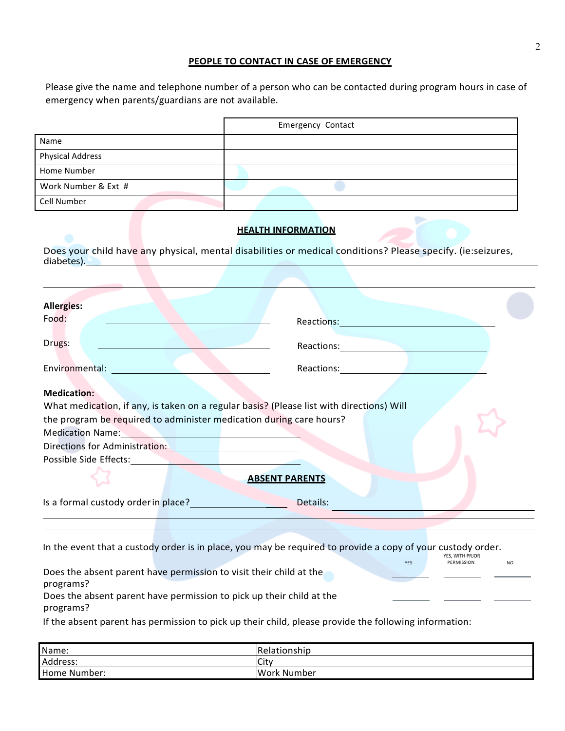## **PEOPLE TO CONTACT IN CASE OF EMERGENCY**

Please give the name and telephone number of a person who can be contacted during program hours in case of emergency when parents/guardians are not available.

|                                                                                                                                                                                                                                | <b>Emergency Contact</b>                                                                                                                                                                                                                                                                                                                                                                                                                                                                                                                                                                                                                                                       |
|--------------------------------------------------------------------------------------------------------------------------------------------------------------------------------------------------------------------------------|--------------------------------------------------------------------------------------------------------------------------------------------------------------------------------------------------------------------------------------------------------------------------------------------------------------------------------------------------------------------------------------------------------------------------------------------------------------------------------------------------------------------------------------------------------------------------------------------------------------------------------------------------------------------------------|
| Name                                                                                                                                                                                                                           |                                                                                                                                                                                                                                                                                                                                                                                                                                                                                                                                                                                                                                                                                |
| <b>Physical Address</b>                                                                                                                                                                                                        |                                                                                                                                                                                                                                                                                                                                                                                                                                                                                                                                                                                                                                                                                |
| Home Number                                                                                                                                                                                                                    |                                                                                                                                                                                                                                                                                                                                                                                                                                                                                                                                                                                                                                                                                |
| Work Number & Ext #                                                                                                                                                                                                            |                                                                                                                                                                                                                                                                                                                                                                                                                                                                                                                                                                                                                                                                                |
| Cell Number                                                                                                                                                                                                                    |                                                                                                                                                                                                                                                                                                                                                                                                                                                                                                                                                                                                                                                                                |
|                                                                                                                                                                                                                                | <b>HEALTH INFORMATION</b>                                                                                                                                                                                                                                                                                                                                                                                                                                                                                                                                                                                                                                                      |
| diabetes). New York and the contract of the contract of the contract of the contract of the contract of the contract of the contract of the contract of the contract of the contract of the contract of the contract of the co | Does your child have any physical, mental disabilities or medical conditions? Please specify. (ie:seizures,                                                                                                                                                                                                                                                                                                                                                                                                                                                                                                                                                                    |
|                                                                                                                                                                                                                                |                                                                                                                                                                                                                                                                                                                                                                                                                                                                                                                                                                                                                                                                                |
| <b>Allergies:</b><br>Food:<br>Drugs:<br>Environmental: Environmental:<br><b>Medication:</b><br>the program be required to administer medication during care hours?                                                             | Reactions: Note and the second services of the services of the series of the series of the series of the series of the series of the series of the series of the series of the series of the series of the series of the serie<br>Reactions: Network and the second service of the service of the service of the service of the series of the series of the series of the series of the series of the series of the series of the series of the series of the se<br>Reactions: the contract of the contract of the contract of the contract of the contract of the contract of the<br>What medication, if any, is taken on a regular basis? (Please list with directions) Will |
| Medication Name: Name and South American Communication of the American Communication of the American Communication                                                                                                             |                                                                                                                                                                                                                                                                                                                                                                                                                                                                                                                                                                                                                                                                                |
| Directions for Administration: National Processors Contractors (National Processors Contractors Contractors Co                                                                                                                 |                                                                                                                                                                                                                                                                                                                                                                                                                                                                                                                                                                                                                                                                                |
| Possible Side Effects: National Procession of the Contract of the Contract of the Contract of the Contract of the Contract of the Contract of the Contract of the Contract of the Contract of the Contract of the Contract of  |                                                                                                                                                                                                                                                                                                                                                                                                                                                                                                                                                                                                                                                                                |
|                                                                                                                                                                                                                                | <b>ABSENT PARENTS</b>                                                                                                                                                                                                                                                                                                                                                                                                                                                                                                                                                                                                                                                          |
| Is a formal custody order in place?                                                                                                                                                                                            | Details:                                                                                                                                                                                                                                                                                                                                                                                                                                                                                                                                                                                                                                                                       |
|                                                                                                                                                                                                                                |                                                                                                                                                                                                                                                                                                                                                                                                                                                                                                                                                                                                                                                                                |
|                                                                                                                                                                                                                                | In the event that a custody order is in place, you may be required to provide a copy of your custody order.<br>YES, WITH PRJOR                                                                                                                                                                                                                                                                                                                                                                                                                                                                                                                                                 |
| Does the absent parent have permission to visit their child at the<br>programs?                                                                                                                                                | PERMISSION<br>YES                                                                                                                                                                                                                                                                                                                                                                                                                                                                                                                                                                                                                                                              |
| Does the absent parent have permission to pick up their child at the<br>programs?                                                                                                                                              |                                                                                                                                                                                                                                                                                                                                                                                                                                                                                                                                                                                                                                                                                |
|                                                                                                                                                                                                                                | If the absent parent has permission to pick up their child, please provide the following information:                                                                                                                                                                                                                                                                                                                                                                                                                                                                                                                                                                          |
|                                                                                                                                                                                                                                |                                                                                                                                                                                                                                                                                                                                                                                                                                                                                                                                                                                                                                                                                |

| Name:        | Relationship |
|--------------|--------------|
| Address:     | City         |
| Home Number: | Work Number  |